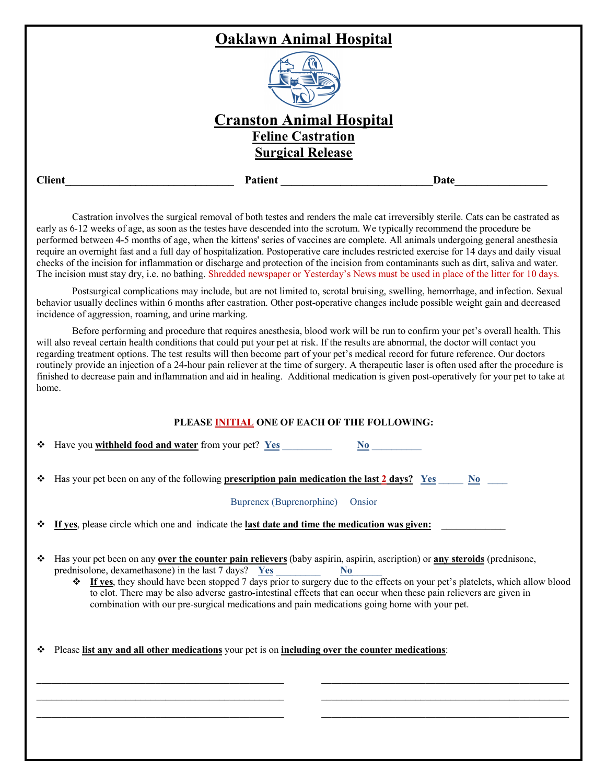|               | <b>Oaklawn Animal Hospital</b>  |      |  |
|---------------|---------------------------------|------|--|
|               |                                 |      |  |
|               | <b>Cranston Animal Hospital</b> |      |  |
|               | <b>Feline Castration</b>        |      |  |
|               | <b>Surgical Release</b>         |      |  |
| <b>Client</b> | Patient                         | Date |  |
|               |                                 |      |  |

Castration involves the surgical removal of both testes and renders the male cat irreversibly sterile. Cats can be castrated as early as 6-12 weeks of age, as soon as the testes have descended into the scrotum. We typically recommend the procedure be performed between 4-5 months of age, when the kittens' series of vaccines are complete. All animals undergoing general anesthesia require an overnight fast and a full day of hospitalization. Postoperative care includes restricted exercise for 14 days and daily visual checks of the incision for inflammation or discharge and protection of the incision from contaminants such as dirt, saliva and water. The incision must stay dry, i.e. no bathing. Shredded newspaper or Yesterday's News must be used in place of the litter for 10 days.

Postsurgical complications may include, but are not limited to, scrotal bruising, swelling, hemorrhage, and infection. Sexual behavior usually declines within 6 months after castration. Other post-operative changes include possible weight gain and decreased incidence of aggression, roaming, and urine marking.

Before performing and procedure that requires anesthesia, blood work will be run to confirm your pet's overall health. This will also reveal certain health conditions that could put your pet at risk. If the results are abnormal, the doctor will contact you regarding treatment options. The test results will then become part of your pet's medical record for future reference. Our doctors routinely provide an injection of a 24-hour pain reliever at the time of surgery. A therapeutic laser is often used after the procedure is finished to decrease pain and inflammation and aid in healing. Additional medication is given post-operatively for your pet to take at home.

## **PLEASE INITIAL ONE OF EACH OF THE FOLLOWING:**

| $\div$ Have you withheld food and water from your pet? Yes |  |
|------------------------------------------------------------|--|
|                                                            |  |

|  | $\div$ Has your pet been on any of the following <b>prescription pain medication the last 2 days?</b> Yes |  |  |  |
|--|-----------------------------------------------------------------------------------------------------------|--|--|--|
|--|-----------------------------------------------------------------------------------------------------------|--|--|--|

| Buprenex (Buprenorphine) | Onsior |
|--------------------------|--------|
|                          |        |

If yes, please circle which one and indicate the **last date and time the medication was given:** 

- v Has your pet been on any **over the counter pain relievers** (baby aspirin, aspirin, ascription) or **any steroids** (prednisone, prednisolone, dexamethasone) in the last 7 days? **Yes** \_\_\_\_\_\_\_\_\_ **No**\_\_\_\_\_\_
	- v **If yes**, they should have been stopped 7 days prior to surgery due to the effects on your pet's platelets, which allow blood to clot. There may be also adverse gastro-intestinal effects that can occur when these pain relievers are given in combination with our pre-surgical medications and pain medications going home with your pet.

**\_\_\_\_\_\_\_\_\_\_\_\_\_\_\_\_\_\_\_\_\_\_\_\_\_\_\_\_\_\_\_\_\_\_\_\_\_\_\_\_\_\_\_\_\_\_\_\_\_\_ \_\_\_\_\_\_\_\_\_\_\_\_\_\_\_\_\_\_\_\_\_\_\_\_\_\_\_\_\_\_\_\_\_\_\_\_\_\_\_\_\_\_\_\_\_\_\_\_\_\_ \_\_\_\_\_\_\_\_\_\_\_\_\_\_\_\_\_\_\_\_\_\_\_\_\_\_\_\_\_\_\_\_\_\_\_\_\_\_\_\_\_\_\_\_\_\_\_\_\_\_**

v Please **list any and all other medications** your pet is on **including over the counter medications**:

**\_\_\_\_\_\_\_\_\_\_\_\_\_\_\_\_\_\_\_\_\_\_\_\_\_\_\_\_\_\_\_\_\_\_\_\_\_\_\_\_\_\_\_\_\_\_\_\_\_\_ \_\_\_\_\_\_\_\_\_\_\_\_\_\_\_\_\_\_\_\_\_\_\_\_\_\_\_\_\_\_\_\_\_\_\_\_\_\_\_\_\_\_\_\_\_\_\_\_\_\_ \_\_\_\_\_\_\_\_\_\_\_\_\_\_\_\_\_\_\_\_\_\_\_\_\_\_\_\_\_\_\_\_\_\_\_\_\_\_\_\_\_\_\_\_\_\_\_\_\_\_**